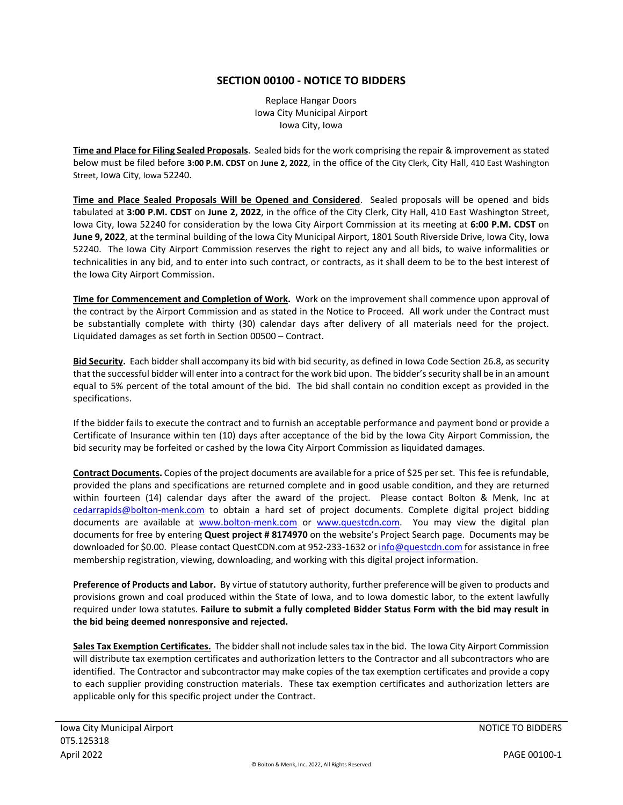## **SECTION 00100 - NOTICE TO BIDDERS**

Replace Hangar Doors Iowa City Municipal Airport Iowa City, Iowa

**Time and Place for Filing Sealed Proposals**. Sealed bids for the work comprising the repair & improvement as stated below must be filed before **3:00 P.M. CDST** on **June 2, 2022**, in the office of the City Clerk, City Hall, 410 East Washington Street, Iowa City, Iowa 52240.

**Time and Place Sealed Proposals Will be Opened and Considered**. Sealed proposals will be opened and bids tabulated at **3:00 P.M. CDST** on **June 2, 2022**, in the office of the City Clerk, City Hall, 410 East Washington Street, Iowa City, Iowa 52240 for consideration by the Iowa City Airport Commission at its meeting at **6:00 P.M. CDST** on **June 9, 2022**, at the terminal building of the Iowa City Municipal Airport, 1801 South Riverside Drive, Iowa City, Iowa 52240. The Iowa City Airport Commission reserves the right to reject any and all bids, to waive informalities or technicalities in any bid, and to enter into such contract, or contracts, as it shall deem to be to the best interest of the Iowa City Airport Commission.

**Time for Commencement and Completion of Work.** Work on the improvement shall commence upon approval of the contract by the Airport Commission and as stated in the Notice to Proceed. All work under the Contract must be substantially complete with thirty (30) calendar days after delivery of all materials need for the project. Liquidated damages as set forth in Section 00500 – Contract.

**Bid Security.** Each bidder shall accompany its bid with bid security, as defined in Iowa Code Section 26.8, as security that the successful bidder will enter into a contract for the work bid upon. The bidder's security shall be in an amount equal to 5% percent of the total amount of the bid. The bid shall contain no condition except as provided in the specifications.

If the bidder fails to execute the contract and to furnish an acceptable performance and payment bond or provide a Certificate of Insurance within ten (10) days after acceptance of the bid by the Iowa City Airport Commission, the bid security may be forfeited or cashed by the Iowa City Airport Commission as liquidated damages.

**Contract Documents.** Copies of the project documents are available for a price of \$25 per set. This fee is refundable, provided the plans and specifications are returned complete and in good usable condition, and they are returned within fourteen (14) calendar days after the award of the project. Please contact Bolton & Menk, Inc at cedarrapids@bolton-menk.com to obtain a hard set of project documents. Complete digital project bidding documents are available at www.bolton-menk.com or www.questcdn.com. You may view the digital plan documents for free by entering **Quest project # 8174970** on the website's Project Search page. Documents may be downloaded for \$0.00. Please contact QuestCDN.com at 952-233-1632 or info@questcdn.com for assistance in free membership registration, viewing, downloading, and working with this digital project information.

**Preference of Products and Labor.** By virtue of statutory authority, further preference will be given to products and provisions grown and coal produced within the State of Iowa, and to Iowa domestic labor, to the extent lawfully required under Iowa statutes. **Failure to submit a fully completed Bidder Status Form with the bid may result in the bid being deemed nonresponsive and rejected.**

**Sales Tax Exemption Certificates.** The bidder shall not include sales tax in the bid. The Iowa City Airport Commission will distribute tax exemption certificates and authorization letters to the Contractor and all subcontractors who are identified. The Contractor and subcontractor may make copies of the tax exemption certificates and provide a copy to each supplier providing construction materials. These tax exemption certificates and authorization letters are applicable only for this specific project under the Contract.